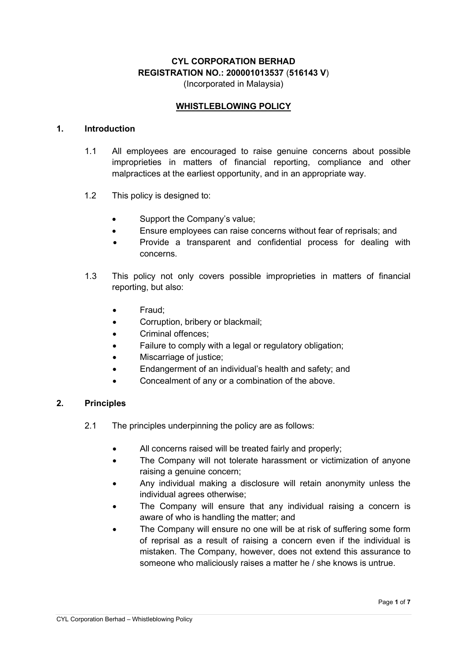# CYL CORPORATION BERHAD REGISTRATION NO.: 200001013537 (516143 V)

(Incorporated in Malaysia)

## WHISTLEBLOWING POLICY

#### 1. Introduction

- 1.1 All employees are encouraged to raise genuine concerns about possible improprieties in matters of financial reporting, compliance and other malpractices at the earliest opportunity, and in an appropriate way.
- 1.2 This policy is designed to:
	- Support the Company's value;
	- Ensure employees can raise concerns without fear of reprisals; and
	- Provide a transparent and confidential process for dealing with concerns.
- 1.3 This policy not only covers possible improprieties in matters of financial reporting, but also:
	- Fraud;
	- Corruption, bribery or blackmail;
	- Criminal offences;
	- Failure to comply with a legal or regulatory obligation;
	- Miscarriage of justice;
	- Endangerment of an individual's health and safety; and
	- Concealment of any or a combination of the above.

### 2. Principles

- 2.1 The principles underpinning the policy are as follows:
	- All concerns raised will be treated fairly and properly;
	- The Company will not tolerate harassment or victimization of anyone raising a genuine concern;
	- Any individual making a disclosure will retain anonymity unless the individual agrees otherwise;
	- The Company will ensure that any individual raising a concern is aware of who is handling the matter; and
	- The Company will ensure no one will be at risk of suffering some form of reprisal as a result of raising a concern even if the individual is mistaken. The Company, however, does not extend this assurance to someone who maliciously raises a matter he / she knows is untrue.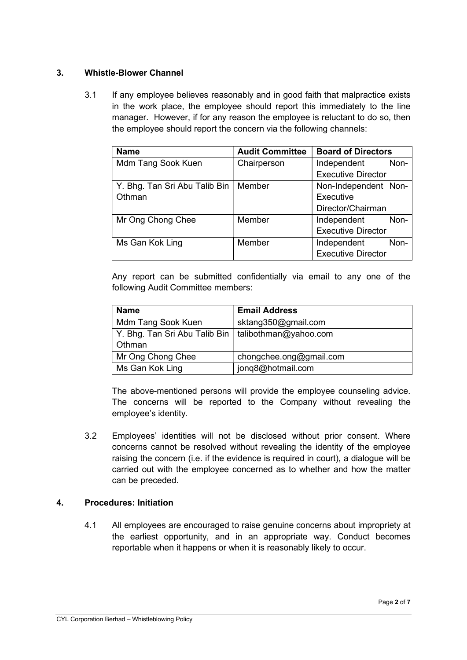## 3. Whistle-Blower Channel

3.1 If any employee believes reasonably and in good faith that malpractice exists in the work place, the employee should report this immediately to the line manager. However, if for any reason the employee is reluctant to do so, then the employee should report the concern via the following channels:

| <b>Name</b>                   | <b>Audit Committee</b> | <b>Board of Directors</b> |      |
|-------------------------------|------------------------|---------------------------|------|
| Mdm Tang Sook Kuen            | Chairperson            | Independent               | Non- |
|                               |                        | <b>Executive Director</b> |      |
| Y. Bhg. Tan Sri Abu Talib Bin | Member                 | Non-Independent Non-      |      |
| Othman                        |                        | Executive                 |      |
|                               |                        | Director/Chairman         |      |
| Mr Ong Chong Chee             | Member                 | Independent               | Non- |
|                               |                        | <b>Executive Director</b> |      |
| Ms Gan Kok Ling               | Member                 | Independent               | Non- |
|                               |                        | <b>Executive Director</b> |      |

Any report can be submitted confidentially via email to any one of the following Audit Committee members:

| <b>Name</b>                                           | <b>Email Address</b>    |
|-------------------------------------------------------|-------------------------|
| Mdm Tang Sook Kuen                                    | sktang350@gmail.com     |
| Y. Bhg. Tan Sri Abu Talib Bin   talibothman@yahoo.com |                         |
| Othman                                                |                         |
| Mr Ong Chong Chee                                     | chongchee.ong@gmail.com |
| Ms Gan Kok Ling                                       | jonq8@hotmail.com       |

The above-mentioned persons will provide the employee counseling advice. The concerns will be reported to the Company without revealing the employee's identity.

3.2 Employees' identities will not be disclosed without prior consent. Where concerns cannot be resolved without revealing the identity of the employee raising the concern (i.e. if the evidence is required in court), a dialogue will be carried out with the employee concerned as to whether and how the matter can be preceded.

### 4. Procedures: Initiation

4.1 All employees are encouraged to raise genuine concerns about impropriety at the earliest opportunity, and in an appropriate way. Conduct becomes reportable when it happens or when it is reasonably likely to occur.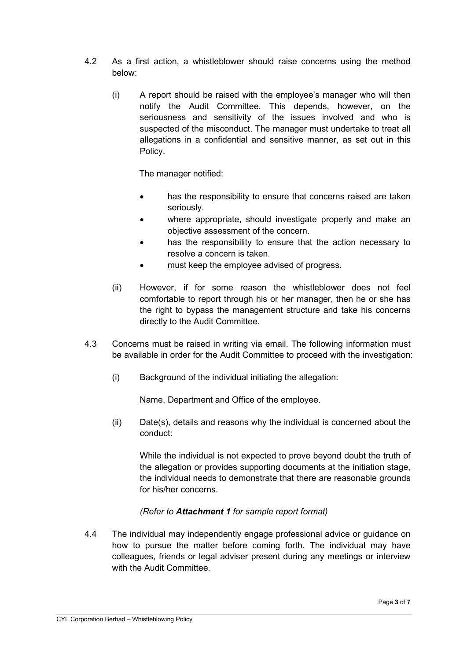- 4.2 As a first action, a whistleblower should raise concerns using the method below:
	- (i) A report should be raised with the employee's manager who will then notify the Audit Committee. This depends, however, on the seriousness and sensitivity of the issues involved and who is suspected of the misconduct. The manager must undertake to treat all allegations in a confidential and sensitive manner, as set out in this Policy.

The manager notified:

- has the responsibility to ensure that concerns raised are taken seriously.
- where appropriate, should investigate properly and make an objective assessment of the concern.
- has the responsibility to ensure that the action necessary to resolve a concern is taken.
- must keep the employee advised of progress.
- (ii) However, if for some reason the whistleblower does not feel comfortable to report through his or her manager, then he or she has the right to bypass the management structure and take his concerns directly to the Audit Committee.
- 4.3 Concerns must be raised in writing via email. The following information must be available in order for the Audit Committee to proceed with the investigation:
	- (i) Background of the individual initiating the allegation:

Name, Department and Office of the employee.

(ii) Date(s), details and reasons why the individual is concerned about the conduct:

While the individual is not expected to prove beyond doubt the truth of the allegation or provides supporting documents at the initiation stage, the individual needs to demonstrate that there are reasonable grounds for his/her concerns.

### (Refer to Attachment 1 for sample report format)

4.4 The individual may independently engage professional advice or guidance on how to pursue the matter before coming forth. The individual may have colleagues, friends or legal adviser present during any meetings or interview with the Audit Committee.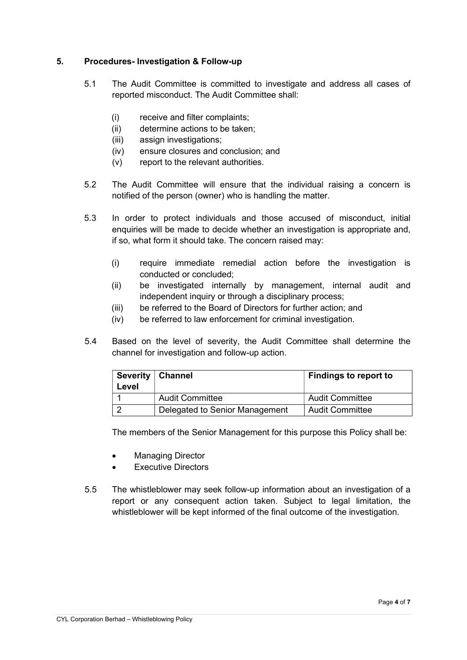## 5. Procedures- Investigation & Follow-up

- 5.1 The Audit Committee is committed to investigate and address all cases of reported misconduct. The Audit Committee shall:
	- (i) receive and filter complaints;
	- (ii) determine actions to be taken;
	- (iii) assign investigations;
	- (iv) ensure closures and conclusion; and
	- (v) report to the relevant authorities.
- 5.2 The Audit Committee will ensure that the individual raising a concern is notified of the person (owner) who is handling the matter.
- 5.3 In order to protect individuals and those accused of misconduct, initial enquiries will be made to decide whether an investigation is appropriate and, if so, what form it should take. The concern raised may:
	- (i) require immediate remedial action before the investigation is conducted or concluded;
	- (ii) be investigated internally by management, internal audit and independent inquiry or through a disciplinary process;
	- (iii) be referred to the Board of Directors for further action; and
	- (iv) be referred to law enforcement for criminal investigation.
- 5.4 Based on the level of severity, the Audit Committee shall determine the channel for investigation and follow-up action.

| Severity   Channel<br>Level |                                | <b>Findings to report to</b> |
|-----------------------------|--------------------------------|------------------------------|
|                             | <b>Audit Committee</b>         | <b>Audit Committee</b>       |
|                             | Delegated to Senior Management | Audit Committee              |

The members of the Senior Management for this purpose this Policy shall be:

- Managing Director
- Executive Directors
- 5.5 The whistleblower may seek follow-up information about an investigation of a report or any consequent action taken. Subject to legal limitation, the whistleblower will be kept informed of the final outcome of the investigation.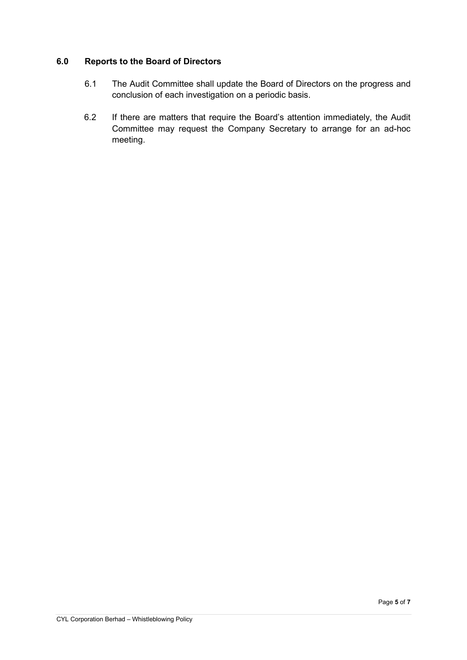## 6.0 Reports to the Board of Directors

- 6.1 The Audit Committee shall update the Board of Directors on the progress and conclusion of each investigation on a periodic basis.
- 6.2 If there are matters that require the Board's attention immediately, the Audit Committee may request the Company Secretary to arrange for an ad-hoc meeting.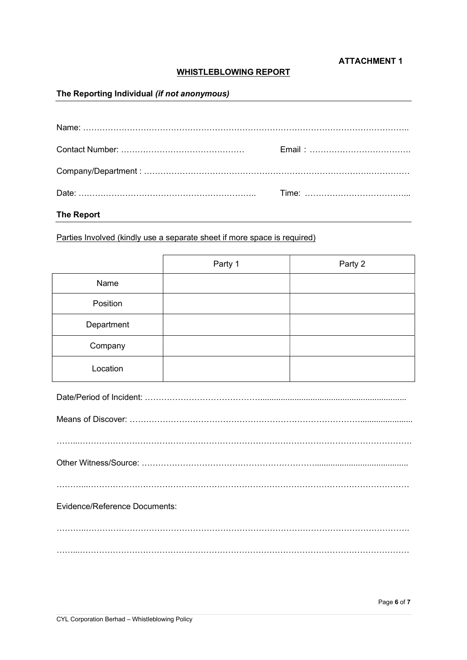#### ATTACHMENT 1

## WHISTLEBLOWING REPORT

## The Reporting Individual (if not anonymous)

| <b>The Report</b> |  |
|-------------------|--|

## Parties Involved (kindly use a separate sheet if more space is required)

|            | Party 1 | Party 2 |
|------------|---------|---------|
| Name       |         |         |
| Position   |         |         |
| Department |         |         |
| Company    |         |         |
| Location   |         |         |

| Evidence/Reference Documents: |
|-------------------------------|
|                               |
|                               |